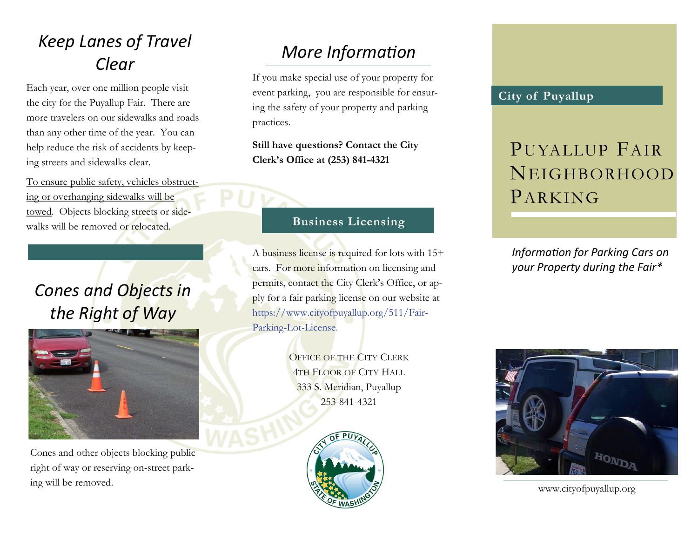### *Keep Lanes of Travel Clear*

Each year, over one million people visit the city for the Puyallup Fair. There are more travelers on our sidewalks and roads than any other time of the year. You can help reduce the risk of accidents by keeping streets and sidewalks clear.

To ensure public safety, vehicles obstructing or overhanging sidewalks will be towed. Objects blocking streets or sidewalks will be removed or relocated.

## *Cones and Objects in the Right of Way*



Cones and other objects blocking public right of way or reserving on-street parking will be removed.

### *More Information*

If you make special use of your property for event parking, you are responsible for ensuring the safety of your property and parking practices.

**Still have questions? Contact the City Clerk's Office at (253) 841-4321**

#### **Business Licensing**

A business license is required for lots with 15+ cars. For more information on licensing and permits, contact the City Clerk's Office, or apply for a fair parking license on our website at https://www.cityofpuyallup.org/511/Fair-Parking-Lot-License.

> **OFFICE OF THE CITY CLERK** 4TH FLOOR OF CITY HALL 333 S. Meridian, Puyallup 253-841-4321



#### **City of Puyallup**

# PUYALLUP FAIR NEIGHBORHOOD PARKING

*Information for Parking Cars on your Property during the Fair\**



www.cityofpuyallup.org